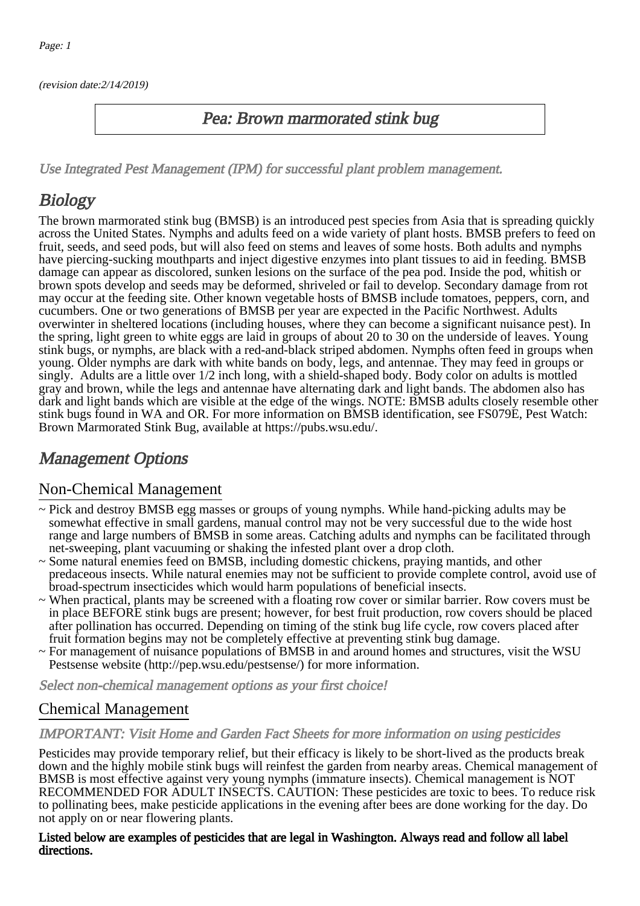(revision date:2/14/2019)

## Pea: Brown marmorated stink bug

[Use Integrated Pest Management \(IPM\) for successful plant problem management.](http://pep.wsu.edu/Home_Garden/H_G_Pesticide_info/urban_Integrated_Pest_Managmen/)

# **Biology**

The brown marmorated stink bug (BMSB) is an introduced pest species from Asia that is spreading quickly across the United States. Nymphs and adults feed on a wide variety of plant hosts. BMSB prefers to feed on fruit, seeds, and seed pods, but will also feed on stems and leaves of some hosts. Both adults and nymphs have piercing-sucking mouthparts and inject digestive enzymes into plant tissues to aid in feeding. BMSB damage can appear as discolored, sunken lesions on the surface of the pea pod. Inside the pod, whitish or brown spots develop and seeds may be deformed, shriveled or fail to develop. Secondary damage from rot may occur at the feeding site. Other known vegetable hosts of BMSB include tomatoes, peppers, corn, and cucumbers. One or two generations of BMSB per year are expected in the Pacific Northwest. Adults overwinter in sheltered locations (including houses, where they can become a significant nuisance pest). In the spring, light green to white eggs are laid in groups of about 20 to 30 on the underside of leaves. Young stink bugs, or nymphs, are black with a red-and-black striped abdomen. Nymphs often feed in groups when young. Older nymphs are dark with white bands on body, legs, and antennae. They may feed in groups or singly. Adults are a little over 1/2 inch long, with a shield-shaped body. Body color on adults is mottled gray and brown, while the legs and antennae have alternating dark and light bands. The abdomen also has dark and light bands which are visible at the edge of the wings. NOTE: BMSB adults closely resemble other stink bugs found in WA and OR. For more information on BMSB identification, see FS079E, Pest Watch: Brown Marmorated Stink Bug, available at https://pubs.wsu.edu/.

## Management Options

## Non-Chemical Management

- ~ Pick and destroy BMSB egg masses or groups of young nymphs. While hand-picking adults may be somewhat effective in small gardens, manual control may not be very successful due to the wide host range and large numbers of BMSB in some areas. Catching adults and nymphs can be facilitated through net-sweeping, plant vacuuming or shaking the infested plant over a drop cloth.
- ~ Some natural enemies feed on BMSB, including domestic chickens, praying mantids, and other predaceous insects. While natural enemies may not be sufficient to provide complete control, avoid use of broad-spectrum insecticides which would harm populations of beneficial insects.
- ~ When practical, plants may be screened with a floating row cover or similar barrier. Row covers must be in place BEFORE stink bugs are present; however, for best fruit production, row covers should be placed after pollination has occurred. Depending on timing of the stink bug life cycle, row covers placed after fruit formation begins may not be completely effective at preventing stink bug damage.
- ~ For management of nuisance populations of BMSB in and around homes and structures, visit the WSU Pestsense website (http://pep.wsu.edu/pestsense/) for more information.

Select non-chemical management options as your first choice!

## Chemical Management

#### IMPORTANT: [Visit Home and Garden Fact Sheets for more information on using pesticides](http://pep.wsu.edu/Home_Garden/H_G_Pesticide_info/)

Pesticides may provide temporary relief, but their efficacy is likely to be short-lived as the products break down and the highly mobile stink bugs will reinfest the garden from nearby areas. Chemical management of BMSB is most effective against very young nymphs (immature insects). Chemical management is NOT RECOMMENDED FOR ADULT INSECTS. CAUTION: These pesticides are toxic to bees. To reduce risk to pollinating bees, make pesticide applications in the evening after bees are done working for the day. Do not apply on or near flowering plants.

#### Listed below are examples of pesticides that are legal in Washington. Always read and follow all label directions.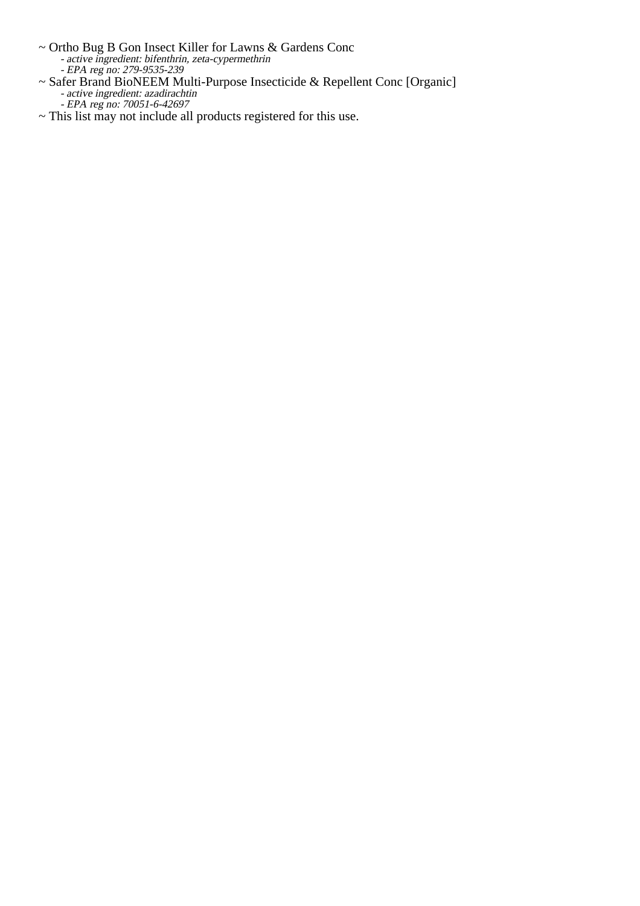- Ortho Bug B Gon Insect Killer for Lawns & Gardens Conc active ingredient: bifenthrin, zeta-cypermethrin
	- EPA reg no: 279-9535-239
- $\sim$  Ort  $\frac{1}{2}$ <br> $\sim$  Saf Safer Brand BioNEEM Multi-Purpose Insecticide & Repellent Conc [Organic] active ingredient: azadirachtin EPA reg no: 70051-6-42697
- ~ This list may not include all products registered for this use.